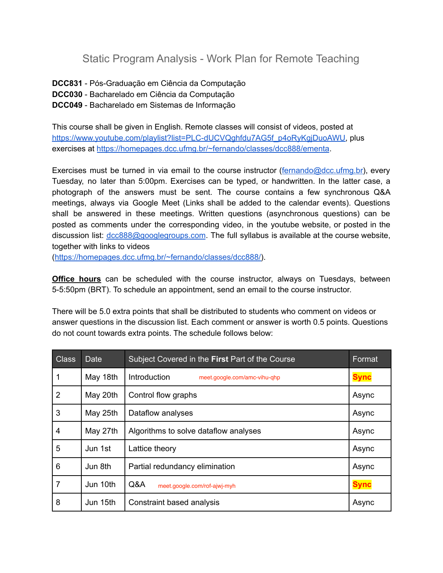Static Program Analysis - Work Plan for Remote Teaching

**DCC831** - Pós-Graduação em Ciência da Computação

- **DCC030** Bacharelado em Ciência da Computação
- **DCC049** Bacharelado em Sistemas de Informação

This course shall be given in English. Remote classes will consist of videos, posted at [https://www.youtube.com/playlist?list=PLC-dUCVQghfdu7AG5f\\_p4oRyKgjDuoAWU,](https://www.youtube.com/playlist?list=PLC-dUCVQghfdu7AG5f_p4oRyKgjDuoAWU) plus exercises at <https://homepages.dcc.ufmg.br/~fernando/classes/dcc888/ementa>.

Exercises must be turned in via email to the course instructor ([fernando@dcc.ufmg.br\)](mailto:fernando@dcc.ufmg.br), every Tuesday, no later than 5:00pm. Exercises can be typed, or handwritten. In the latter case, a photograph of the answers must be sent. The course contains a few synchronous Q&A meetings, always via Google Meet (Links shall be added to the calendar events). Questions shall be answered in these meetings. Written questions (asynchronous questions) can be posted as comments under the corresponding video, in the youtube website, or posted in the discussion list: [dcc888@googlegroups.com](mailto:dcc888@googlegroups.com). The full syllabus is available at the course website, together with links to videos

([https://homepages.dcc.ufmg.br/~fernando/classes/dcc888/\)](https://homepages.dcc.ufmg.br/~fernando/classes/dcc888/).

**Office hours** can be scheduled with the course instructor, always on Tuesdays, between 5-5:50pm (BRT). To schedule an appointment, send an email to the course instructor.

There will be 5.0 extra points that shall be distributed to students who comment on videos or answer questions in the discussion list. Each comment or answer is worth 0.5 points. Questions do not count towards extra points. The schedule follows below:

| <b>Class</b>   | <b>Date</b> | Subject Covered in the First Part of the Course | Format      |
|----------------|-------------|-------------------------------------------------|-------------|
|                | May 18th    | Introduction<br>meet.google.com/amc-vihu-qhp    | <b>Sync</b> |
| $\overline{2}$ | May 20th    | Control flow graphs                             | Async       |
| 3              | May 25th    | Dataflow analyses                               | Async       |
| 4              | May 27th    | Algorithms to solve dataflow analyses           | Async       |
| 5              | Jun 1st     | Lattice theory                                  | Async       |
| 6              | Jun 8th     | Partial redundancy elimination                  | Async       |
| $\overline{7}$ | Jun 10th    | Q&A<br>meet.google.com/rof-ajwj-myh             | <b>Sync</b> |
| 8              | Jun 15th    | Constraint based analysis                       | Async       |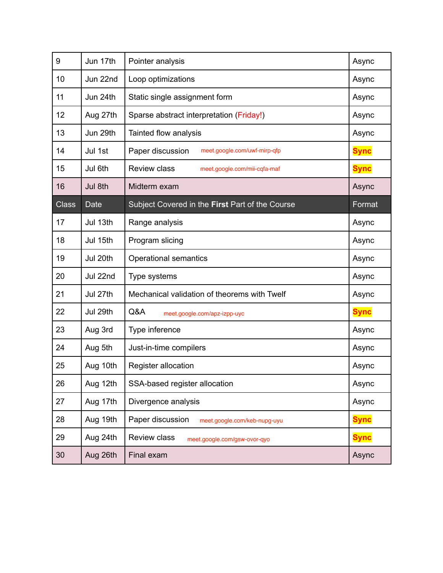| 9            | Jun 17th | Pointer analysis                                    | Async       |
|--------------|----------|-----------------------------------------------------|-------------|
| 10           | Jun 22nd | Loop optimizations                                  | Async       |
| 11           | Jun 24th | Static single assignment form                       | Async       |
| 12           | Aug 27th | Sparse abstract interpretation (Friday!)            | Async       |
| 13           | Jun 29th | Tainted flow analysis                               | Async       |
| 14           | Jul 1st  | Paper discussion<br>meet.google.com/uwf-mirp-qfp    | <b>Sync</b> |
| 15           | Jul 6th  | <b>Review class</b><br>meet.google.com/mii-cqfa-maf | <b>Sync</b> |
| 16           | Jul 8th  | Midterm exam                                        | Async       |
| <b>Class</b> | Date     | Subject Covered in the First Part of the Course     | Format      |
| 17           | Jul 13th | Range analysis                                      | Async       |
| 18           | Jul 15th | Program slicing                                     | Async       |
| 19           | Jul 20th | <b>Operational semantics</b>                        | Async       |
| 20           | Jul 22nd | Type systems                                        | Async       |
| 21           | Jul 27th | Mechanical validation of theorems with Twelf        | Async       |
| 22           | Jul 29th | Q&A<br>meet.google.com/apz-izpp-uyc                 | <b>Sync</b> |
| 23           | Aug 3rd  | Type inference                                      | Async       |
| 24           | Aug 5th  | Just-in-time compilers                              | Async       |
| 25           | Aug 10th | Register allocation                                 | Async       |
| 26           | Aug 12th | SSA-based register allocation                       | Async       |
| 27           | Aug 17th | Divergence analysis                                 | Async       |
| 28           | Aug 19th | Paper discussion<br>meet.google.com/keb-nupg-uyu    | <b>Sync</b> |
| 29           | Aug 24th | <b>Review class</b><br>meet.google.com/gsw-ovor-qyo | <b>Sync</b> |
| 30           | Aug 26th | Final exam                                          | Async       |